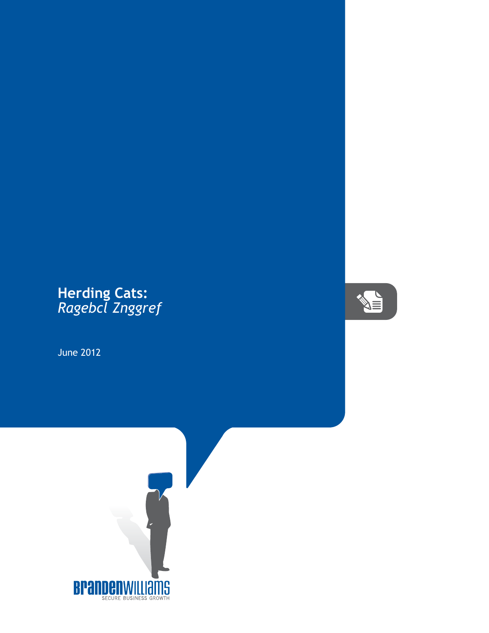## **Herding Cats:** *Ragebcl Znggref*

June 2012



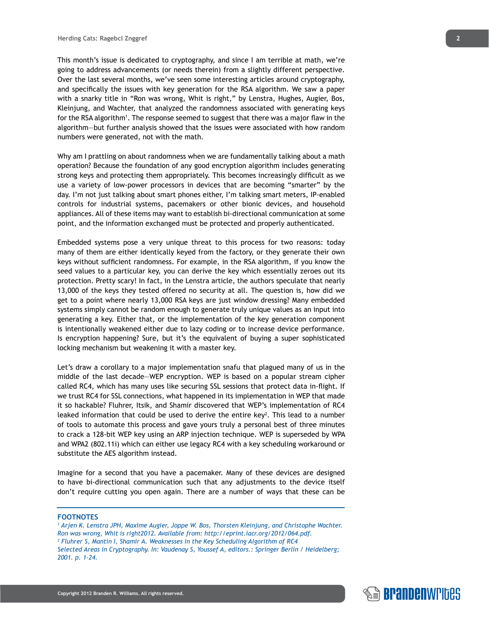This month's issue is dedicated to cryptography, and since I am terrible at math, we're going to address advancements (or needs therein) from a slightly different perspective. Over the last several months, we've seen some interesting articles around cryptography, and specifically the issues with key generation for the RSA algorithm. We saw a paper with a snarky title in "Ron was wrong, Whit is right," by Lenstra, Hughes, Augier, Bos, Kleinjung, and Wachter, that analyzed the randomness associated with generating keys for the RSA algorithm<sup>1</sup>. The response seemed to suggest that there was a major flaw in the algorithm—but further analysis showed that the issues were associated with how random numbers were generated, not with the math.

Why am I prattling on about randomness when we are fundamentally talking about a math operation? Because the foundation of any good encryption algorithm includes generating strong keys and protecting them appropriately. This becomes increasingly difficult as we use a variety of low-power processors in devices that are becoming "smarter" by the day. I'm not just talking about smart phones either, I'm talking smart meters, IP-enabled controls for industrial systems, pacemakers or other bionic devices, and household appliances. All of these items may want to establish bi-directional communication at some point, and the information exchanged must be protected and properly authenticated.

Embedded systems pose a very unique threat to this process for two reasons: today many of them are either identically keyed from the factory, or they generate their own keys without sufficient randomness. For example, in the RSA algorithm, if you know the seed values to a particular key, you can derive the key which essentially zeroes out its protection. Pretty scary! In fact, in the Lenstra article, the authors speculate that nearly 13,000 of the keys they tested offered no security at all. The question is, how did we get to a point where nearly 13,000 RSA keys are just window dressing? Many embedded systems simply cannot be random enough to generate truly unique values as an input into generating a key. Either that, or the implementation of the key generation component is intentionally weakened either due to lazy coding or to increase device performance. Is encryption happening? Sure, but it's the equivalent of buying a super sophisticated locking mechanism but weakening it with a master key.

Let's draw a corollary to a major implementation snafu that plagued many of us in the middle of the last decade—WEP encryption. WEP is based on a popular stream cipher called RC4, which has many uses like securing SSL sessions that protect data in-flight. If we trust RC4 for SSL connections, what happened in its implementation in WEP that made it so hackable? Fluhrer, Itsik, and Shamir discovered that WEP's implementation of RC4 leaked information that could be used to derive the entire key<sup>2</sup>. This lead to a number of tools to automate this process and gave yours truly a personal best of three minutes to crack a 128-bit WEP key using an ARP injection technique. WEP is superseded by WPA and WPA2 (802.11i) which can either use legacy RC4 with a key scheduling workaround or substitute the AES algorithm instead.

Imagine for a second that you have a pacemaker. Many of these devices are designed to have bi-directional communication such that any adjustments to the device itself don't require cutting you open again. There are a number of ways that these can be

## **FOOTNOTES**

*1 Arjen K. Lenstra JPH, Maxime Augier, Joppe W. Bos, Thorsten Kleinjung, and Christophe Wachter. Ron was wrong, Whit is right2012. Available from: http://eprint.iacr.org/2012/064.pdf. 2 Fluhrer S, Mantin I, Shamir A. Weaknesses in the Key Scheduling Algorithm of RC4 Selected Areas in Cryptography. In: Vaudenay S, Youssef A, editors.: Springer Berlin / Heidelberg; 2001. p. 1-24.*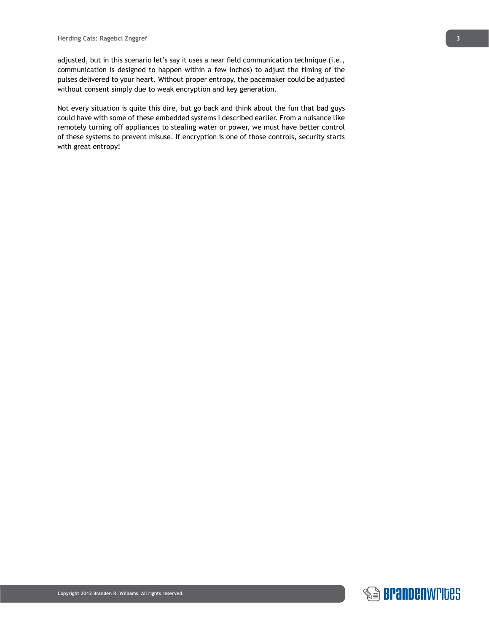adjusted, but in this scenario let's say it uses a near field communication technique (i.e., communication is designed to happen within a few inches) to adjust the timing of the pulses delivered to your heart. Without proper entropy, the pacemaker could be adjusted without consent simply due to weak encryption and key generation.

Not every situation is quite this dire, but go back and think about the fun that bad guys could have with some of these embedded systems I described earlier. From a nuisance like remotely turning off appliances to stealing water or power, we must have better control of these systems to prevent misuse. If encryption is one of those controls, security starts with great entropy!